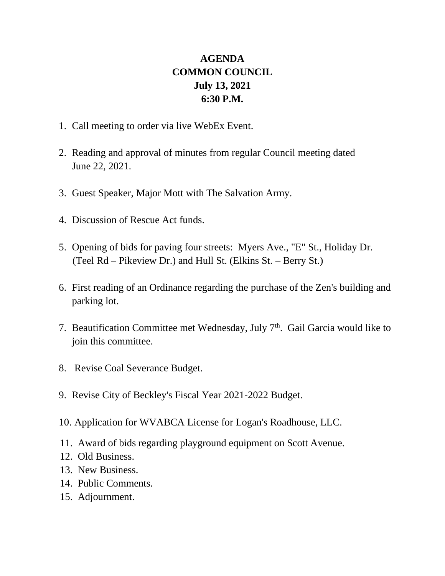## **AGENDA COMMON COUNCIL July 13, 2021 6:30 P.M.**

- 1. Call meeting to order via live WebEx Event.
- 2. Reading and approval of minutes from regular Council meeting dated June 22, 2021.
- 3. Guest Speaker, Major Mott with The Salvation Army.
- 4. Discussion of Rescue Act funds.
- 5. Opening of bids for paving four streets: Myers Ave., "E" St., Holiday Dr. (Teel Rd – Pikeview Dr.) and Hull St. (Elkins St. – Berry St.)
- 6. First reading of an Ordinance regarding the purchase of the Zen's building and parking lot.
- 7. Beautification Committee met Wednesday, July  $7<sup>th</sup>$ . Gail Garcia would like to join this committee.
- 8. Revise Coal Severance Budget.
- 9. Revise City of Beckley's Fiscal Year 2021-2022 Budget.
- 10. Application for WVABCA License for Logan's Roadhouse, LLC.
- 11. Award of bids regarding playground equipment on Scott Avenue.
- 12. Old Business.
- 13. New Business.
- 14. Public Comments.
- 15. Adjournment.